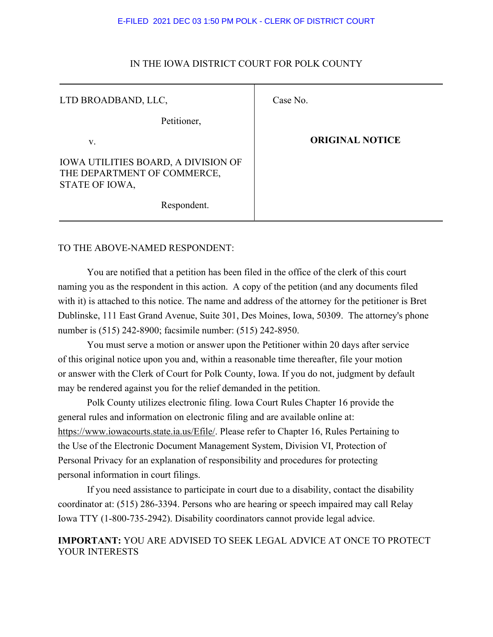#### E-FILED 2021 DEC 03 1:50 PM POLK - CLERK OF DISTRICT COURT

#### IN THE IOWA DISTRICT COURT FOR POLK COUNTY

| LTD BROADBAND, LLC,                                                                         | Case No.               |
|---------------------------------------------------------------------------------------------|------------------------|
| Petitioner,                                                                                 |                        |
| V.                                                                                          | <b>ORIGINAL NOTICE</b> |
| <b>IOWA UTILITIES BOARD, A DIVISION OF</b><br>THE DEPARTMENT OF COMMERCE,<br>STATE OF IOWA, |                        |
| Respondent.                                                                                 |                        |

### TO THE ABOVE-NAMED RESPONDENT:

You are notified that a petition has been filed in the office of the clerk of this court naming you as the respondent in this action. A copy of the petition (and any documents filed with it) is attached to this notice. The name and address of the attorney for the petitioner is Bret Dublinske, 111 East Grand Avenue, Suite 301, Des Moines, Iowa, 50309. The attorney's phone number is (515) 242-8900; facsimile number: (515) 242-8950.

You must serve a motion or answer upon the Petitioner within 20 days after service of this original notice upon you and, within a reasonable time thereafter, file your motion or answer with the Clerk of Court for Polk County, Iowa. If you do not, judgment by default may be rendered against you for the relief demanded in the petition.

Polk County utilizes electronic filing. Iowa Court Rules Chapter 16 provide the general rules and information on electronic filing and are available online at: https://www.iowacourts.state.ia.us/Efile/. Please refer to Chapter 16, Rules Pertaining to the Use of the Electronic Document Management System, Division VI, Protection of Personal Privacy for an explanation of responsibility and procedures for protecting personal information in court filings.

If you need assistance to participate in court due to a disability, contact the disability coordinator at: (515) 286-3394. Persons who are hearing or speech impaired may call Relay Iowa TTY (1-800-735-2942). Disability coordinators cannot provide legal advice.

## **IMPORTANT:** YOU ARE ADVISED TO SEEK LEGAL ADVICE AT ONCE TO PROTECT YOUR INTERESTS